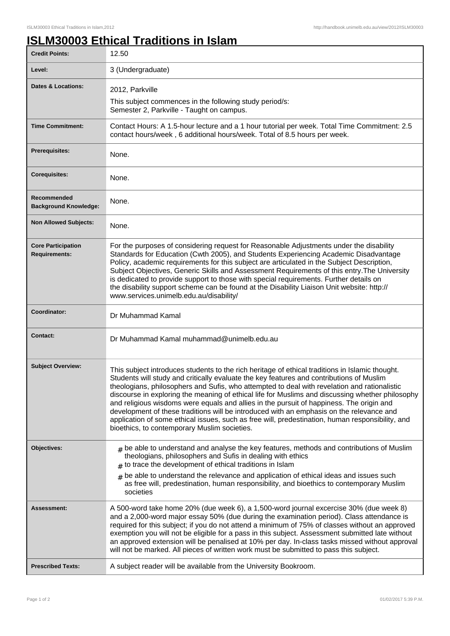## **ISLM30003 Ethical Traditions in Islam**

| <b>Credit Points:</b>                             | 12.50                                                                                                                                                                                                                                                                                                                                                                                                                                                                                                                                                                                                                                                                                                                                       |
|---------------------------------------------------|---------------------------------------------------------------------------------------------------------------------------------------------------------------------------------------------------------------------------------------------------------------------------------------------------------------------------------------------------------------------------------------------------------------------------------------------------------------------------------------------------------------------------------------------------------------------------------------------------------------------------------------------------------------------------------------------------------------------------------------------|
| Level:                                            | 3 (Undergraduate)                                                                                                                                                                                                                                                                                                                                                                                                                                                                                                                                                                                                                                                                                                                           |
| Dates & Locations:                                | 2012, Parkville                                                                                                                                                                                                                                                                                                                                                                                                                                                                                                                                                                                                                                                                                                                             |
|                                                   | This subject commences in the following study period/s:<br>Semester 2, Parkville - Taught on campus.                                                                                                                                                                                                                                                                                                                                                                                                                                                                                                                                                                                                                                        |
| <b>Time Commitment:</b>                           | Contact Hours: A 1.5-hour lecture and a 1 hour tutorial per week. Total Time Commitment: 2.5<br>contact hours/week, 6 additional hours/week. Total of 8.5 hours per week.                                                                                                                                                                                                                                                                                                                                                                                                                                                                                                                                                                   |
| <b>Prerequisites:</b>                             | None.                                                                                                                                                                                                                                                                                                                                                                                                                                                                                                                                                                                                                                                                                                                                       |
| <b>Corequisites:</b>                              | None.                                                                                                                                                                                                                                                                                                                                                                                                                                                                                                                                                                                                                                                                                                                                       |
| Recommended<br><b>Background Knowledge:</b>       | None.                                                                                                                                                                                                                                                                                                                                                                                                                                                                                                                                                                                                                                                                                                                                       |
| <b>Non Allowed Subjects:</b>                      | None.                                                                                                                                                                                                                                                                                                                                                                                                                                                                                                                                                                                                                                                                                                                                       |
| <b>Core Participation</b><br><b>Requirements:</b> | For the purposes of considering request for Reasonable Adjustments under the disability<br>Standards for Education (Cwth 2005), and Students Experiencing Academic Disadvantage<br>Policy, academic requirements for this subject are articulated in the Subject Description,<br>Subject Objectives, Generic Skills and Assessment Requirements of this entry. The University<br>is dedicated to provide support to those with special requirements. Further details on<br>the disability support scheme can be found at the Disability Liaison Unit website: http://<br>www.services.unimelb.edu.au/disability/                                                                                                                            |
| Coordinator:                                      | Dr Muhammad Kamal                                                                                                                                                                                                                                                                                                                                                                                                                                                                                                                                                                                                                                                                                                                           |
| <b>Contact:</b>                                   | Dr Muhammad Kamal muhammad@unimelb.edu.au                                                                                                                                                                                                                                                                                                                                                                                                                                                                                                                                                                                                                                                                                                   |
| <b>Subject Overview:</b>                          | This subject introduces students to the rich heritage of ethical traditions in Islamic thought.<br>Students will study and critically evaluate the key features and contributions of Muslim<br>theologians, philosophers and Sufis, who attempted to deal with revelation and rationalistic<br>discourse in exploring the meaning of ethical life for Muslims and discussing whether philosophy<br>and religious wisdoms were equals and allies in the pursuit of happiness. The origin and<br>development of these traditions will be introduced with an emphasis on the relevance and<br>application of some ethical issues, such as free will, predestination, human responsibility, and<br>bioethics, to contemporary Muslim societies. |
| Objectives:                                       | $_{\text{\#}}$ be able to understand and analyse the key features, methods and contributions of Muslim<br>theologians, philosophers and Sufis in dealing with ethics<br>to trace the development of ethical traditions in Islam                                                                                                                                                                                                                                                                                                                                                                                                                                                                                                             |
|                                                   | be able to understand the relevance and application of ethical ideas and issues such<br>$\pm$<br>as free will, predestination, human responsibility, and bioethics to contemporary Muslim<br>societies                                                                                                                                                                                                                                                                                                                                                                                                                                                                                                                                      |
| Assessment:                                       | A 500-word take home 20% (due week 6), a 1,500-word journal excercise 30% (due week 8)<br>and a 2,000-word major essay 50% (due during the examination period). Class attendance is<br>required for this subject; if you do not attend a minimum of 75% of classes without an approved<br>exemption you will not be eligible for a pass in this subject. Assessment submitted late without<br>an approved extension will be penalised at 10% per day. In-class tasks missed without approval<br>will not be marked. All pieces of written work must be submitted to pass this subject.                                                                                                                                                      |
| <b>Prescribed Texts:</b>                          | A subject reader will be available from the University Bookroom.                                                                                                                                                                                                                                                                                                                                                                                                                                                                                                                                                                                                                                                                            |